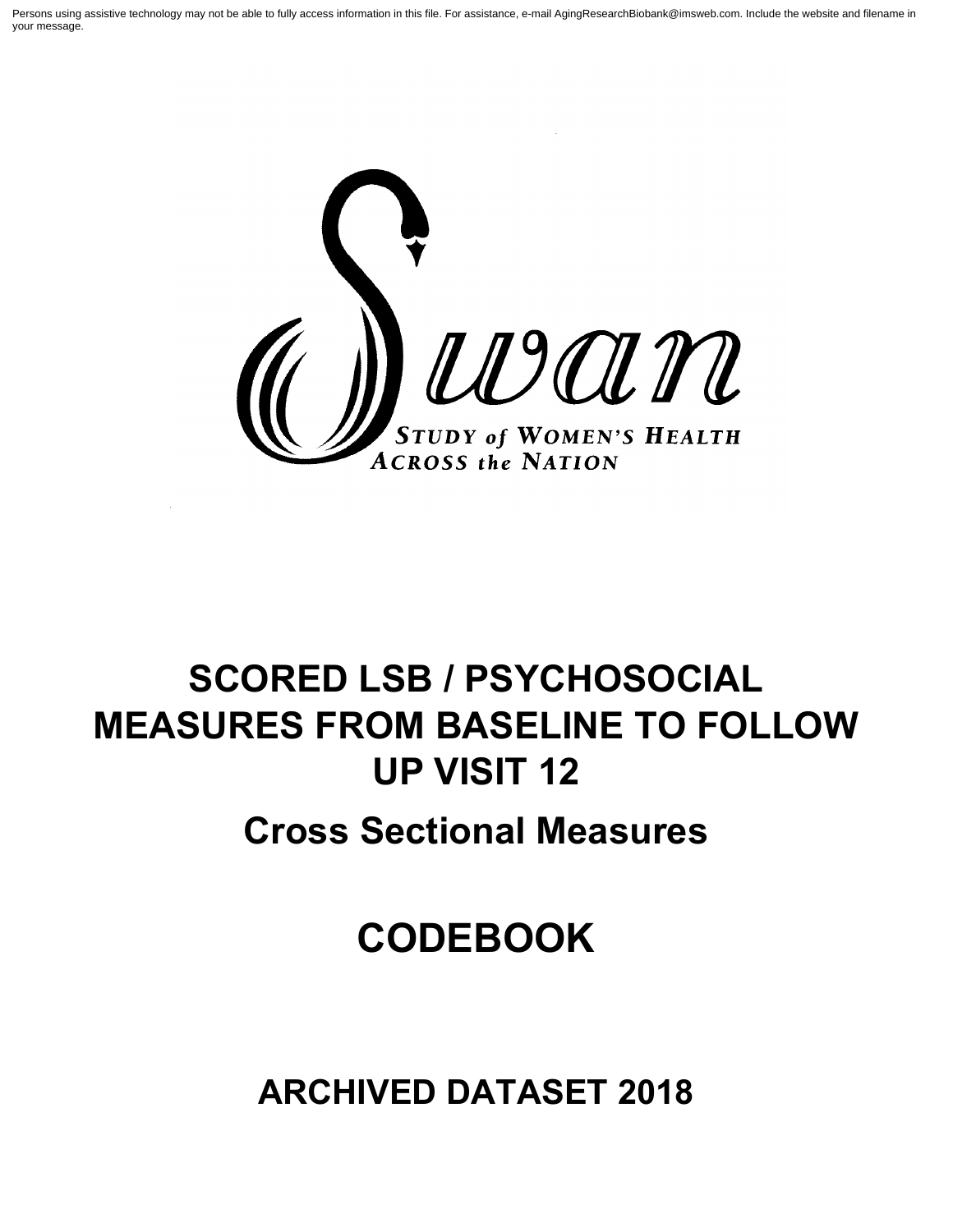Persons using assistive technology may not be able to fully access information in this file. For assistance, e-mail AgingResearchBiobank@imsweb.com. Include the website and filename in your message.



# **SCORED LSB / PSYCHOSOCIAL MEASURES FROM BASELINE TO FOLLOW UP VISIT 12**

**Cross Sectional Measures**

## **CODEBOOK**

**ARCHIVED DATASET 2018**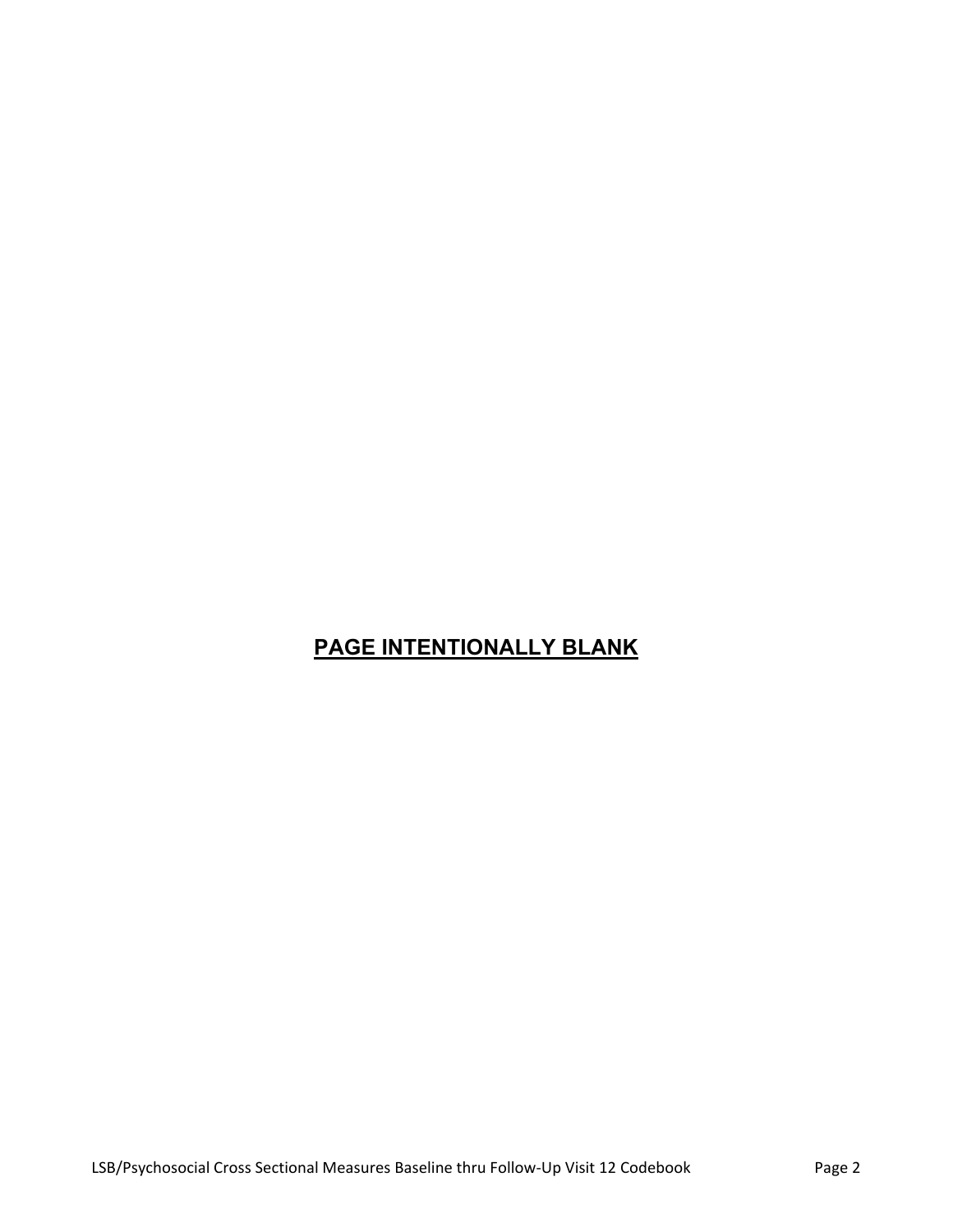## **PAGE INTENTIONALLY BLANK**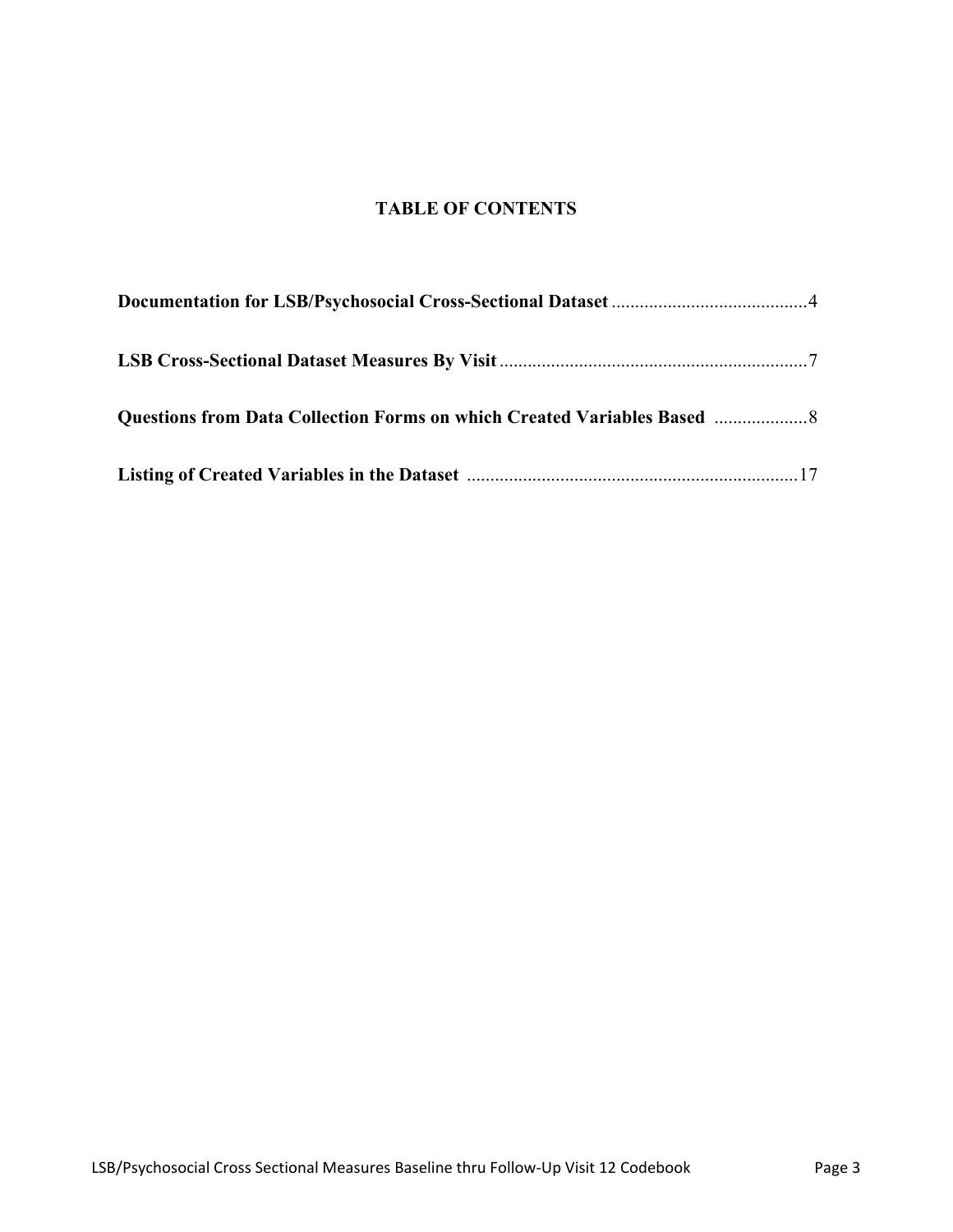## **TABLE OF CONTENTS**

| Questions from Data Collection Forms on which Created Variables Based |  |
|-----------------------------------------------------------------------|--|
|                                                                       |  |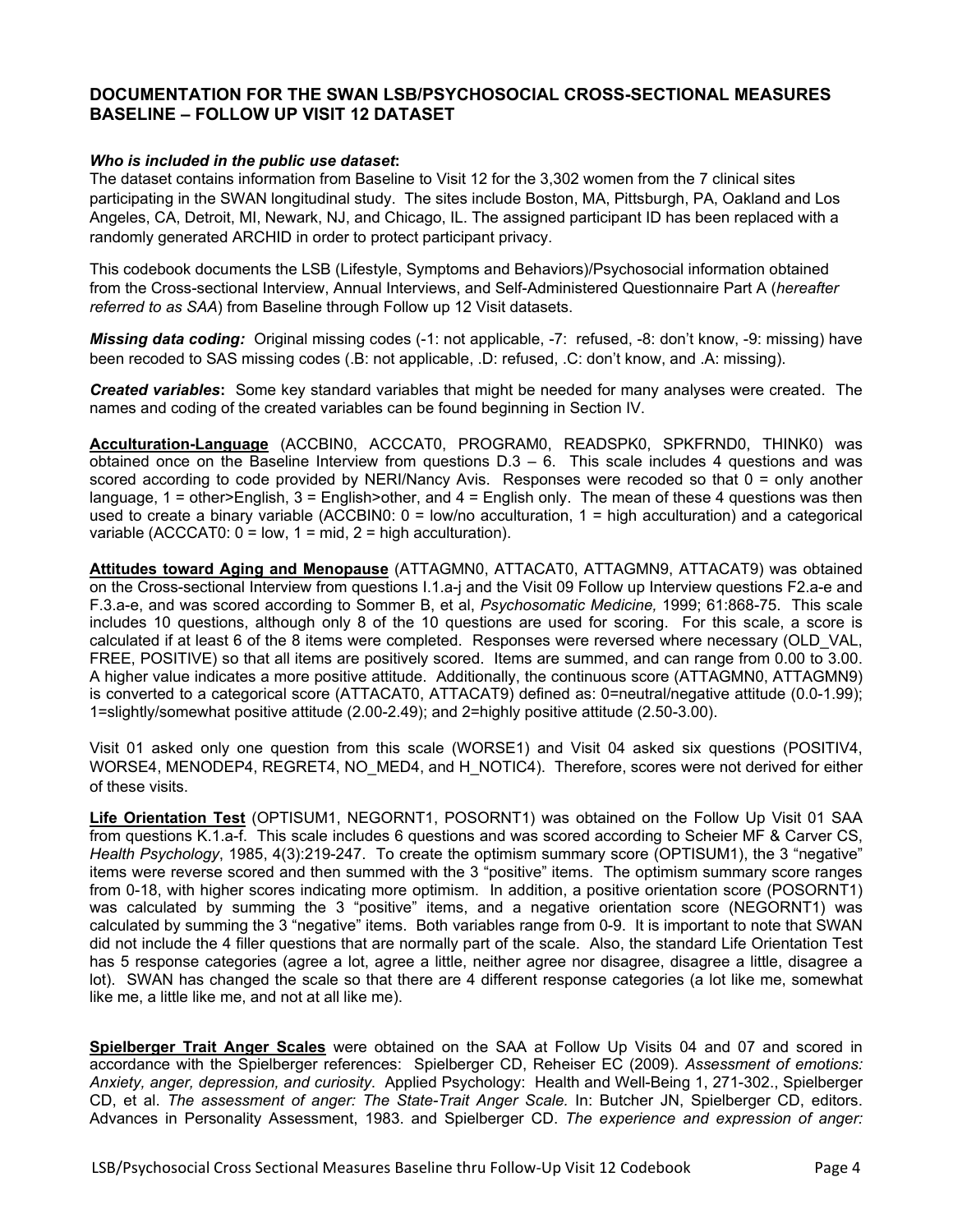#### **DOCUMENTATION FOR THE SWAN LSB/PSYCHOSOCIAL CROSS-SECTIONAL MEASURES BASELINE – FOLLOW UP VISIT 12 DATASET**

#### *Who is included in the public use dataset***:**

The dataset contains information from Baseline to Visit 12 for the 3,302 women from the 7 clinical sites participating in the SWAN longitudinal study. The sites include Boston, MA, Pittsburgh, PA, Oakland and Los Angeles, CA, Detroit, MI, Newark, NJ, and Chicago, IL. The assigned participant ID has been replaced with a randomly generated ARCHID in order to protect participant privacy.

This codebook documents the LSB (Lifestyle, Symptoms and Behaviors)/Psychosocial information obtained from the Cross-sectional Interview, Annual Interviews, and Self-Administered Questionnaire Part A (*hereafter referred to as SAA*) from Baseline through Follow up 12 Visit datasets.

*Missing data coding:* Original missing codes (-1: not applicable, -7: refused, -8: don't know, -9: missing) have been recoded to SAS missing codes (.B: not applicable, .D: refused, .C: don't know, and .A: missing).

*Created variables***:** Some key standard variables that might be needed for many analyses were created. The names and coding of the created variables can be found beginning in Section IV.

**Acculturation-Language** (ACCBIN0, ACCCAT0, PROGRAM0, READSPK0, SPKFRND0, THINK0) was obtained once on the Baseline Interview from questions  $D.3 - 6$ . This scale includes 4 questions and was scored according to code provided by NERI/Nancy Avis. Responses were recoded so that 0 = only another language, 1 = other>English, 3 = English>other, and 4 = English only. The mean of these 4 questions was then used to create a binary variable (ACCBIN0: 0 = low/no acculturation, 1 = high acculturation) and a categorical variable (ACCCAT0:  $0 = low$ , 1 = mid, 2 = high acculturation).

**Attitudes toward Aging and Menopause** (ATTAGMN0, ATTACAT0, ATTAGMN9, ATTACAT9) was obtained on the Cross-sectional Interview from questions I.1.a-j and the Visit 09 Follow up Interview questions F2.a-e and F.3.a-e, and was scored according to Sommer B, et al, *Psychosomatic Medicine,* 1999; 61:868-75. This scale includes 10 questions, although only 8 of the 10 questions are used for scoring. For this scale, a score is calculated if at least 6 of the 8 items were completed. Responses were reversed where necessary (OLD\_VAL, FREE, POSITIVE) so that all items are positively scored. Items are summed, and can range from 0.00 to 3.00. A higher value indicates a more positive attitude. Additionally, the continuous score (ATTAGMN0, ATTAGMN9) is converted to a categorical score (ATTACAT0, ATTACAT9) defined as: 0=neutral/negative attitude (0.0-1.99); 1=slightly/somewhat positive attitude (2.00-2.49); and 2=highly positive attitude (2.50-3.00).

Visit 01 asked only one question from this scale (WORSE1) and Visit 04 asked six questions (POSITIV4, WORSE4, MENODEP4, REGRET4, NO\_MED4, and H\_NOTIC4). Therefore, scores were not derived for either of these visits.

**Life Orientation Test** (OPTISUM1, NEGORNT1, POSORNT1) was obtained on the Follow Up Visit 01 SAA from questions K.1.a-f. This scale includes 6 questions and was scored according to Scheier MF & Carver CS, *Health Psychology*, 1985, 4(3):219-247. To create the optimism summary score (OPTISUM1), the 3 "negative" items were reverse scored and then summed with the 3 "positive" items. The optimism summary score ranges from 0-18, with higher scores indicating more optimism. In addition, a positive orientation score (POSORNT1) was calculated by summing the 3 "positive" items, and a negative orientation score (NEGORNT1) was calculated by summing the 3 "negative" items. Both variables range from 0-9. It is important to note that SWAN did not include the 4 filler questions that are normally part of the scale. Also, the standard Life Orientation Test has 5 response categories (agree a lot, agree a little, neither agree nor disagree, disagree a little, disagree a lot). SWAN has changed the scale so that there are 4 different response categories (a lot like me, somewhat like me, a little like me, and not at all like me).

**Spielberger Trait Anger Scales** were obtained on the SAA at Follow Up Visits 04 and 07 and scored in accordance with the Spielberger references: Spielberger CD, Reheiser EC (2009). *Assessment of emotions: Anxiety, anger, depression, and curiosity*. Applied Psychology: Health and Well-Being 1, 271-302., Spielberger CD, et al. *The assessment of anger: The State-Trait Anger Scale.* In: Butcher JN, Spielberger CD, editors. Advances in Personality Assessment, 1983. and Spielberger CD. *The experience and expression of anger:*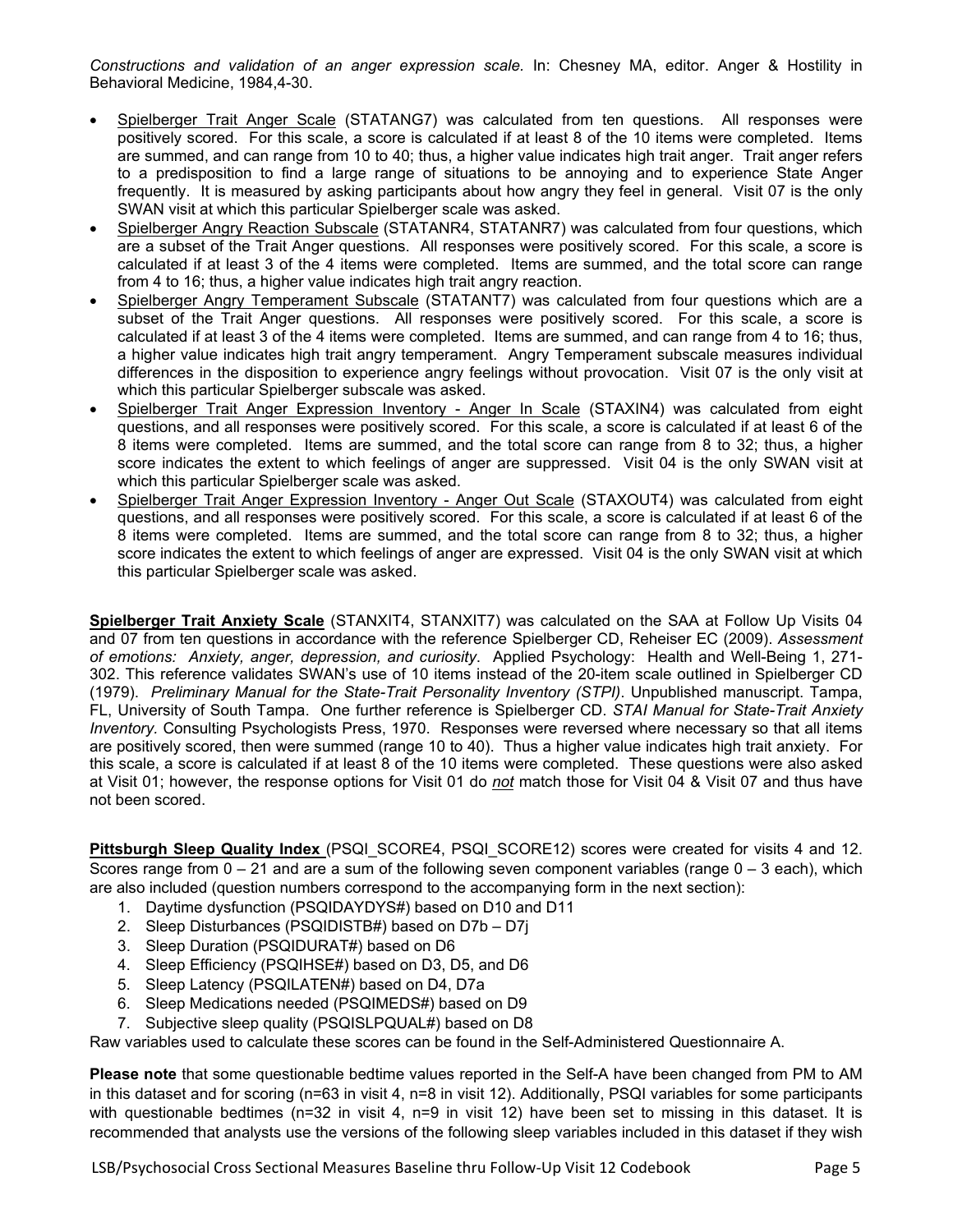*Constructions and validation of an anger expression scale.* In: Chesney MA, editor. Anger & Hostility in Behavioral Medicine, 1984,4-30.

- Spielberger Trait Anger Scale (STATANG7) was calculated from ten questions. All responses were positively scored. For this scale, a score is calculated if at least 8 of the 10 items were completed. Items are summed, and can range from 10 to 40; thus, a higher value indicates high trait anger. Trait anger refers to a predisposition to find a large range of situations to be annoying and to experience State Anger frequently. It is measured by asking participants about how angry they feel in general. Visit 07 is the only SWAN visit at which this particular Spielberger scale was asked.
- Spielberger Angry Reaction Subscale (STATANR4, STATANR7) was calculated from four questions, which are a subset of the Trait Anger questions. All responses were positively scored. For this scale, a score is calculated if at least 3 of the 4 items were completed. Items are summed, and the total score can range from 4 to 16; thus, a higher value indicates high trait angry reaction.
- Spielberger Angry Temperament Subscale (STATANT7) was calculated from four questions which are a subset of the Trait Anger questions. All responses were positively scored. For this scale, a score is calculated if at least 3 of the 4 items were completed. Items are summed, and can range from 4 to 16; thus, a higher value indicates high trait angry temperament. Angry Temperament subscale measures individual differences in the disposition to experience angry feelings without provocation. Visit 07 is the only visit at which this particular Spielberger subscale was asked.
- Spielberger Trait Anger Expression Inventory Anger In Scale (STAXIN4) was calculated from eight questions, and all responses were positively scored. For this scale, a score is calculated if at least 6 of the 8 items were completed. Items are summed, and the total score can range from 8 to 32; thus, a higher score indicates the extent to which feelings of anger are suppressed. Visit 04 is the only SWAN visit at which this particular Spielberger scale was asked.
- Spielberger Trait Anger Expression Inventory Anger Out Scale (STAXOUT4) was calculated from eight questions, and all responses were positively scored. For this scale, a score is calculated if at least 6 of the 8 items were completed. Items are summed, and the total score can range from 8 to 32; thus, a higher score indicates the extent to which feelings of anger are expressed. Visit 04 is the only SWAN visit at which this particular Spielberger scale was asked.

**Spielberger Trait Anxiety Scale** (STANXIT4, STANXIT7) was calculated on the SAA at Follow Up Visits 04 and 07 from ten questions in accordance with the reference Spielberger CD, Reheiser EC (2009). *Assessment of emotions: Anxiety, anger, depression, and curiosity*. Applied Psychology: Health and Well-Being 1, 271- 302. This reference validates SWAN's use of 10 items instead of the 20-item scale outlined in Spielberger CD (1979). *Preliminary Manual for the State-Trait Personality Inventory (STPI)*. Unpublished manuscript. Tampa, FL, University of South Tampa. One further reference is Spielberger CD. *STAI Manual for State-Trait Anxiety Inventory.* Consulting Psychologists Press, 1970. Responses were reversed where necessary so that all items are positively scored, then were summed (range 10 to 40). Thus a higher value indicates high trait anxiety. For this scale, a score is calculated if at least 8 of the 10 items were completed. These questions were also asked at Visit 01; however, the response options for Visit 01 do *not* match those for Visit 04 & Visit 07 and thus have not been scored.

**Pittsburgh Sleep Quality Index** (PSQI\_SCORE4, PSQI\_SCORE12) scores were created for visits 4 and 12. Scores range from  $0 - 21$  and are a sum of the following seven component variables (range  $0 - 3$  each), which are also included (question numbers correspond to the accompanying form in the next section):

- 1. Daytime dysfunction (PSQIDAYDYS#) based on D10 and D11
- 2. Sleep Disturbances (PSQIDISTB#) based on D7b D7j
- 3. Sleep Duration (PSQIDURAT#) based on D6
- 4. Sleep Efficiency (PSQIHSE#) based on D3, D5, and D6
- 5. Sleep Latency (PSQILATEN#) based on D4, D7a
- 6. Sleep Medications needed (PSQIMEDS#) based on D9
- 7. Subjective sleep quality (PSQISLPQUAL#) based on D8

Raw variables used to calculate these scores can be found in the Self-Administered Questionnaire A.

**Please note** that some questionable bedtime values reported in the Self-A have been changed from PM to AM in this dataset and for scoring (n=63 in visit 4, n=8 in visit 12). Additionally, PSQI variables for some participants with questionable bedtimes (n=32 in visit 4, n=9 in visit 12) have been set to missing in this dataset. It is recommended that analysts use the versions of the following sleep variables included in this dataset if they wish

LSB/Psychosocial Cross Sectional Measures Baseline thru Follow-Up Visit 12 Codebook Page 5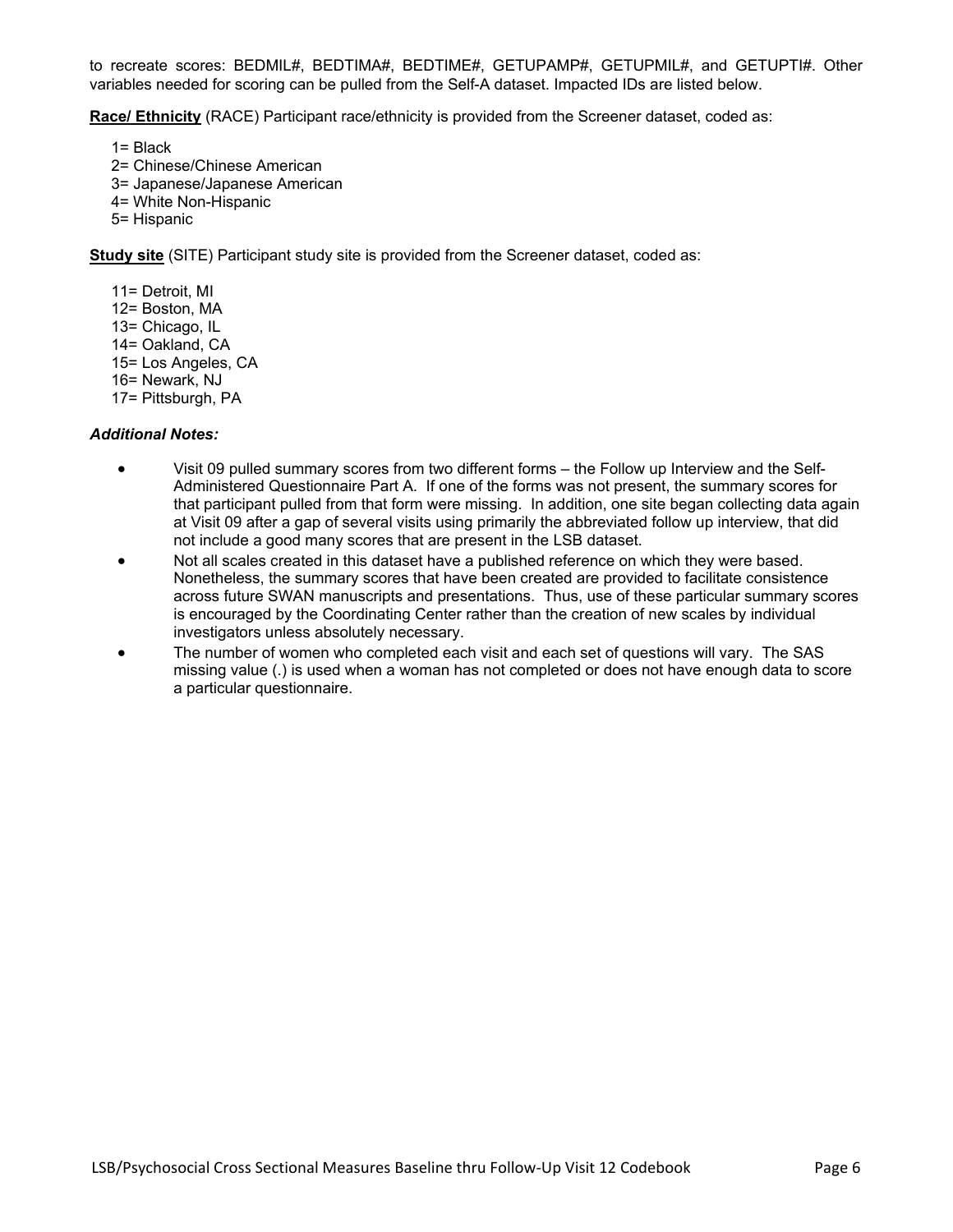to recreate scores: BEDMIL#, BEDTIMA#, BEDTIME#, GETUPAMP#, GETUPMIL#, and GETUPTI#. Other variables needed for scoring can be pulled from the Self-A dataset. Impacted IDs are listed below.

**Race/ Ethnicity** (RACE) Participant race/ethnicity is provided from the Screener dataset, coded as:

- 1= Black
- 2= Chinese/Chinese American
- 3= Japanese/Japanese American
- 4= White Non-Hispanic
- 5= Hispanic

**Study site** (SITE) Participant study site is provided from the Screener dataset, coded as:

- 11= Detroit, MI 12= Boston, MA 13= Chicago, IL 14= Oakland, CA 15= Los Angeles, CA 16= Newark, NJ
- 17= Pittsburgh, PA

#### *Additional Notes:*

- Visit 09 pulled summary scores from two different forms the Follow up Interview and the Self-Administered Questionnaire Part A. If one of the forms was not present, the summary scores for that participant pulled from that form were missing. In addition, one site began collecting data again at Visit 09 after a gap of several visits using primarily the abbreviated follow up interview, that did not include a good many scores that are present in the LSB dataset.
- Not all scales created in this dataset have a published reference on which they were based. Nonetheless, the summary scores that have been created are provided to facilitate consistence across future SWAN manuscripts and presentations. Thus, use of these particular summary scores is encouraged by the Coordinating Center rather than the creation of new scales by individual investigators unless absolutely necessary.
- The number of women who completed each visit and each set of questions will vary. The SAS missing value (.) is used when a woman has not completed or does not have enough data to score a particular questionnaire.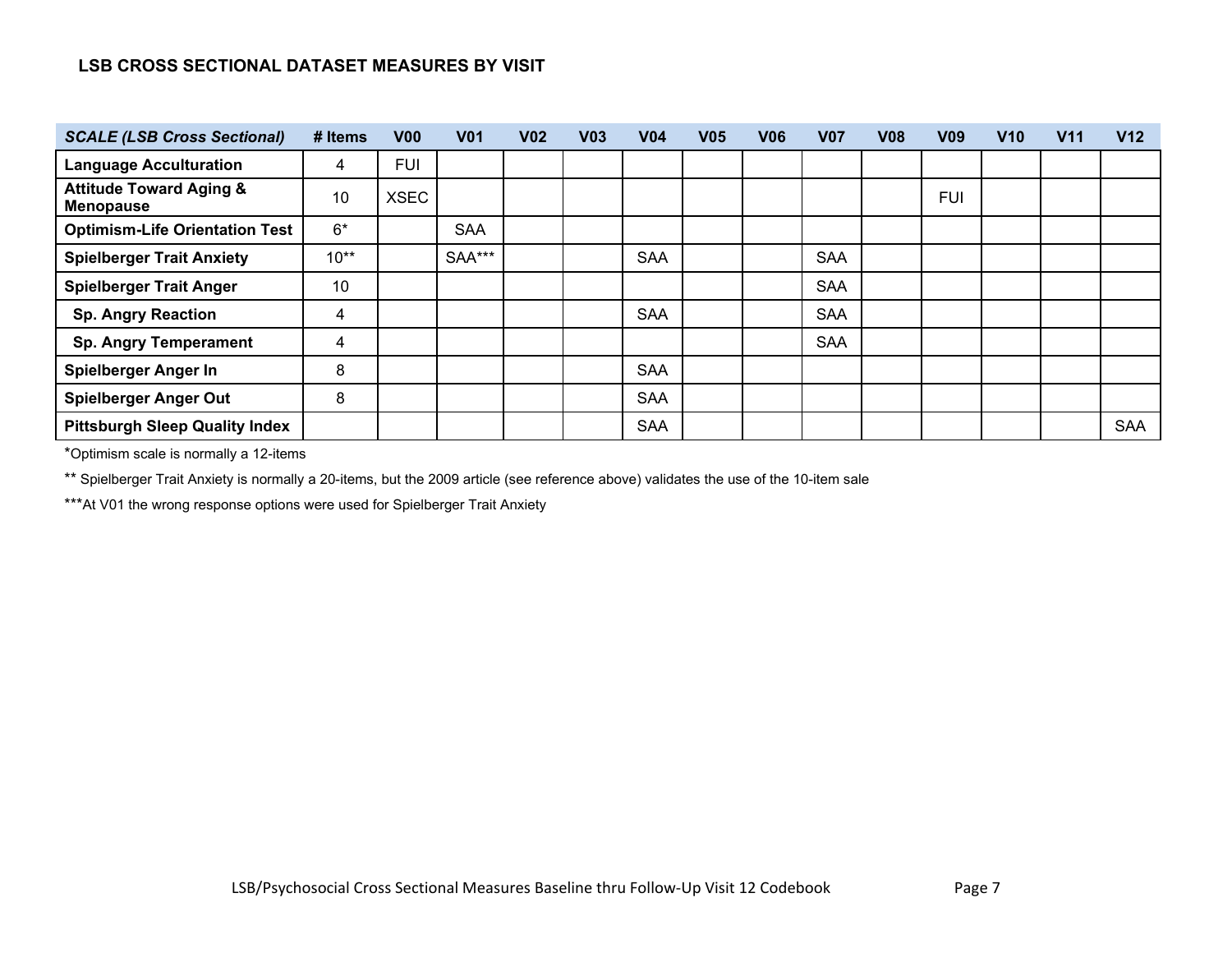#### **LSB CROSS SECTIONAL DATASET MEASURES BY VISIT**

| <b>SCALE (LSB Cross Sectional)</b>                     | # Items   | <b>V00</b>  | <b>V01</b> | V <sub>02</sub> | V <sub>03</sub> | V <sub>04</sub> | V <sub>05</sub> | <b>V06</b> | <b>V07</b> | <b>V08</b> | V <sub>09</sub> | <b>V10</b> | V11 | V <sub>12</sub> |
|--------------------------------------------------------|-----------|-------------|------------|-----------------|-----------------|-----------------|-----------------|------------|------------|------------|-----------------|------------|-----|-----------------|
| <b>Language Acculturation</b>                          | 4         | <b>FUI</b>  |            |                 |                 |                 |                 |            |            |            |                 |            |     |                 |
| <b>Attitude Toward Aging &amp;</b><br><b>Menopause</b> | 10        | <b>XSEC</b> |            |                 |                 |                 |                 |            |            |            | <b>FUI</b>      |            |     |                 |
| <b>Optimism-Life Orientation Test</b>                  | $6*$      |             | <b>SAA</b> |                 |                 |                 |                 |            |            |            |                 |            |     |                 |
| <b>Spielberger Trait Anxiety</b>                       | $10^{**}$ |             | SAA***     |                 |                 | <b>SAA</b>      |                 |            | <b>SAA</b> |            |                 |            |     |                 |
| <b>Spielberger Trait Anger</b>                         | 10        |             |            |                 |                 |                 |                 |            | <b>SAA</b> |            |                 |            |     |                 |
| <b>Sp. Angry Reaction</b>                              | 4         |             |            |                 |                 | <b>SAA</b>      |                 |            | <b>SAA</b> |            |                 |            |     |                 |
| <b>Sp. Angry Temperament</b>                           | 4         |             |            |                 |                 |                 |                 |            | <b>SAA</b> |            |                 |            |     |                 |
| Spielberger Anger In                                   | 8         |             |            |                 |                 | <b>SAA</b>      |                 |            |            |            |                 |            |     |                 |
| <b>Spielberger Anger Out</b>                           | 8         |             |            |                 |                 | <b>SAA</b>      |                 |            |            |            |                 |            |     |                 |
| <b>Pittsburgh Sleep Quality Index</b>                  |           |             |            |                 |                 | <b>SAA</b>      |                 |            |            |            |                 |            |     | <b>SAA</b>      |

\*Optimism scale is normally a 12-items

\*\* Spielberger Trait Anxiety is normally a 20-items, but the 2009 article (see reference above) validates the use of the 10-item sale

\*\*\*At V01 the wrong response options were used for Spielberger Trait Anxiety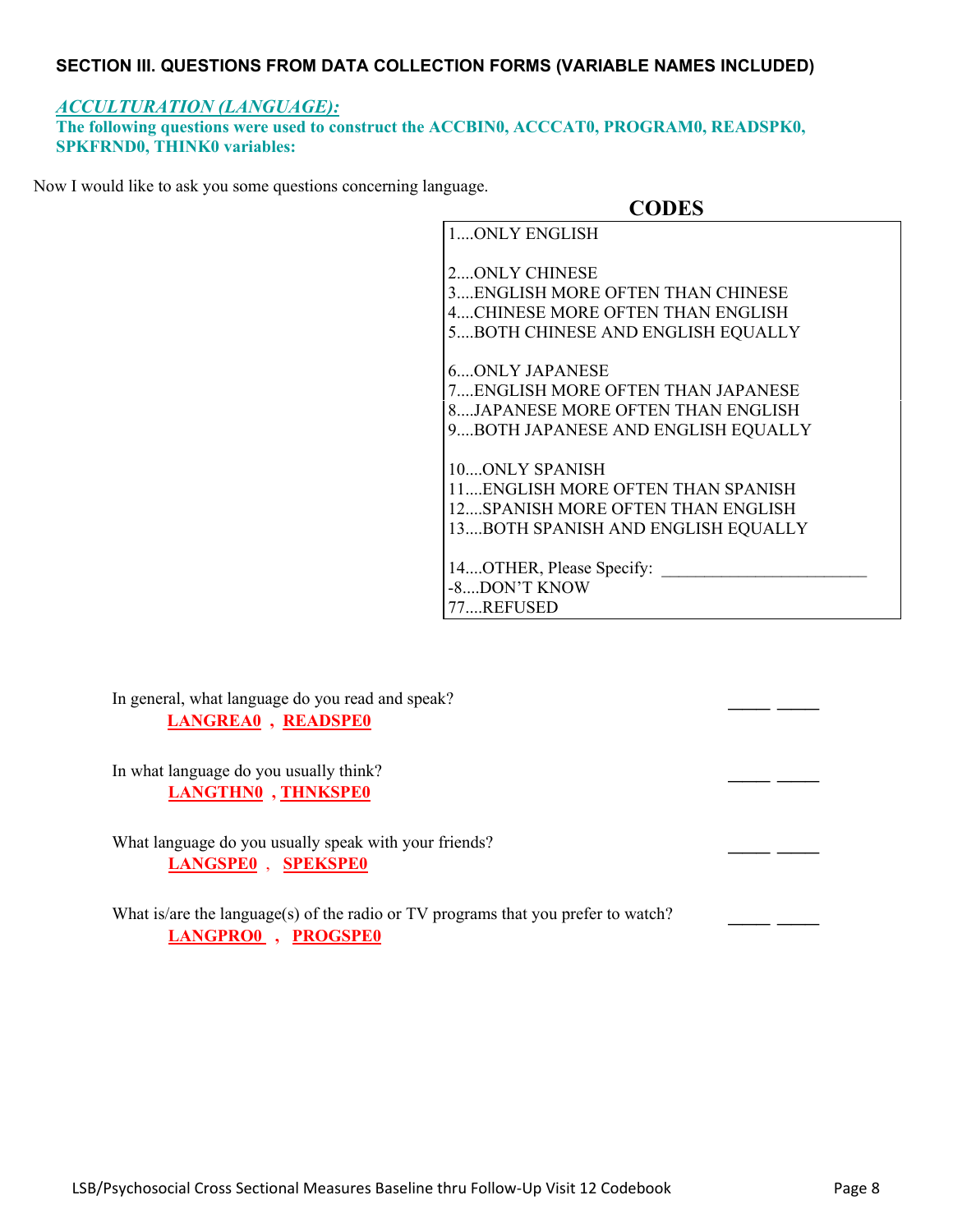#### **SECTION III. QUESTIONS FROM DATA COLLECTION FORMS (VARIABLE NAMES INCLUDED)**

#### *ACCULTURATION (LANGUAGE):*

**The following questions were used to construct the ACCBIN0, ACCCAT0, PROGRAM0, READSPK0, SPKFRND0, THINK0 variables:**

Now I would like to ask you some questions concerning language.

#### **CODES**

| 1ONLY ENGLISH                                                                                                              |
|----------------------------------------------------------------------------------------------------------------------------|
| 2ONLY CHINESE<br>3ENGLISH MORE OFTEN THAN CHINESE<br>4CHINESE MORE OFTEN THAN ENGLISH<br>5BOTH CHINESE AND ENGLISH EQUALLY |
| <b>6ONLY JAPANESE</b><br>7ENGLISH MORE OFTEN THAN JAPANESE<br>8JAPANESE MORE OFTEN THAN ENGLISH                            |
| 9 BOTH JAPANESE AND ENGLISH EQUALLY<br>10ONLY SPANISH<br>11ENGLISH MORE OFTEN THAN SPANISH                                 |
| 12SPANISH MORE OFTEN THAN ENGLISH<br>13BOTH SPANISH AND ENGLISH EQUALLY<br>14OTHER, Please Specify:                        |
| -8DON'T KNOW<br>77REFUSED                                                                                                  |

In general, what language do you read and speak? <br> **LANGREA0** , **READSPE0** 

In what language do you usually think? **LANGTHN0 , THNKSPE0**

What language do you usually speak with your friends? **LANGSPE0** , **SPEKSPE0**

What is/are the language(s) of the radio or TV programs that you prefer to watch? **LANGPRO0 , PROGSPE0**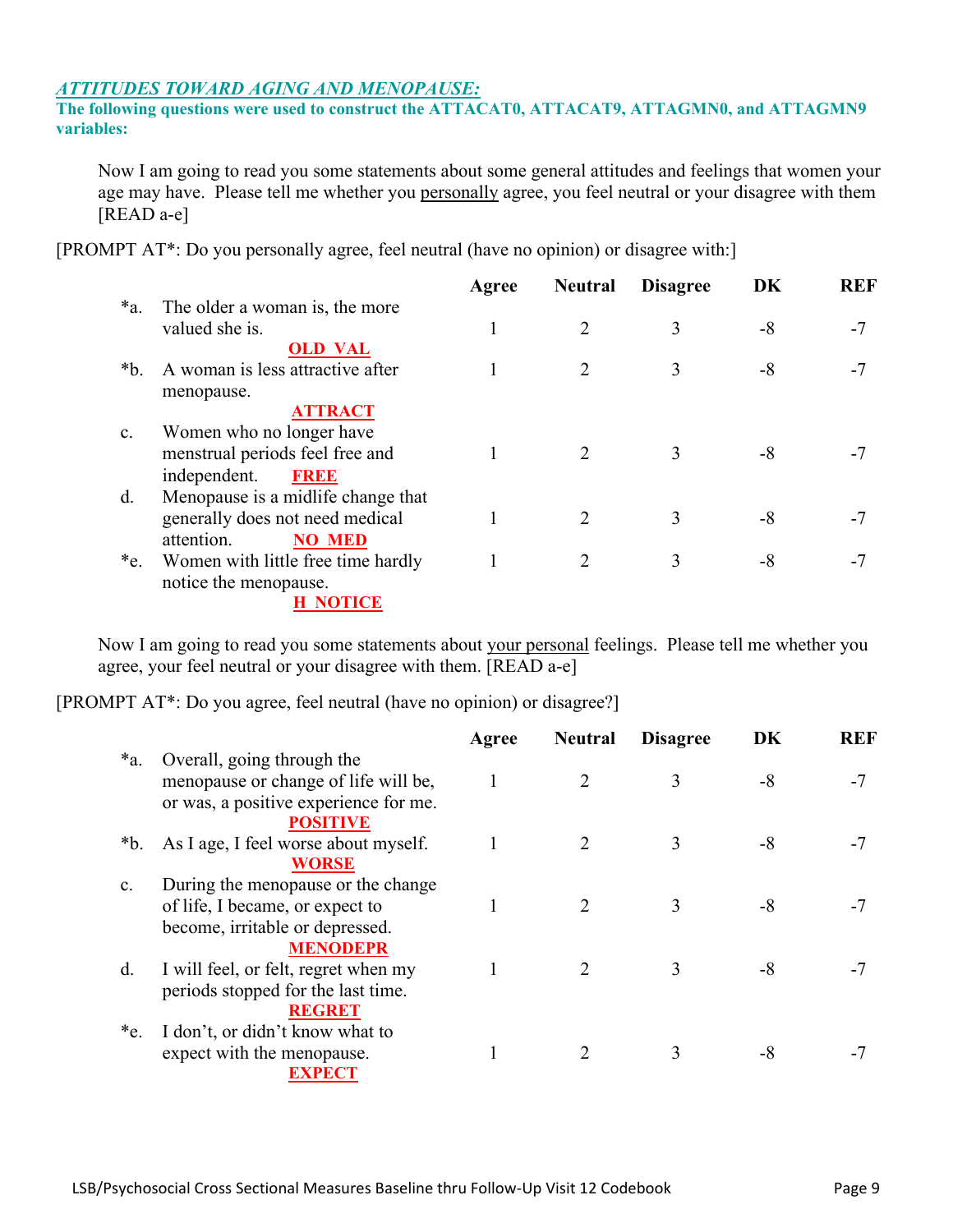## *ATTITUDES TOWARD AGING AND MENOPAUSE:*

**The following questions were used to construct the ATTACAT0, ATTACAT9, ATTAGMN0, and ATTAGMN9 variables:**

Now I am going to read you some statements about some general attitudes and feelings that women your age may have. Please tell me whether you personally agree, you feel neutral or your disagree with them [READ a-e]

[PROMPT AT\*: Do you personally agree, feel neutral (have no opinion) or disagree with:]

|          |                                    | Agree | <b>Neutral</b> | <b>Disagree</b> | DK   | <b>REF</b> |
|----------|------------------------------------|-------|----------------|-----------------|------|------------|
| $a^*a$ . | The older a woman is, the more     |       |                |                 |      |            |
|          | valued she is.                     |       |                | 3               | $-8$ | -7         |
|          | <b>OLD VAL</b>                     |       |                |                 |      |            |
| $*b$ .   | A woman is less attractive after   |       |                | 3               | -8   | -7         |
|          | menopause.                         |       |                |                 |      |            |
|          | <b>ATTRACT</b>                     |       |                |                 |      |            |
| c.       | Women who no longer have           |       |                |                 |      |            |
|          | menstrual periods feel free and    |       |                | 3               | -8   |            |
|          | independent.<br><b>FREE</b>        |       |                |                 |      |            |
| d.       | Menopause is a midlife change that |       |                |                 |      |            |
|          | generally does not need medical    |       | 2              | 3               | $-8$ |            |
|          | attention.<br><b>NO MED</b>        |       |                |                 |      |            |
| *e.      | Women with little free time hardly |       |                | 3               | -8   |            |
|          | notice the menopause.              |       |                |                 |      |            |
|          | <b>NOTICE</b>                      |       |                |                 |      |            |

Now I am going to read you some statements about your personal feelings. Please tell me whether you agree, your feel neutral or your disagree with them. [READ a-e]

[PROMPT AT\*: Do you agree, feel neutral (have no opinion) or disagree?]

|                |                                       | Agree | <b>Neutral</b> | <b>Disagree</b> | DK   | <b>REF</b> |
|----------------|---------------------------------------|-------|----------------|-----------------|------|------------|
| $a^*a$ .       | Overall, going through the            |       |                |                 |      |            |
|                | menopause or change of life will be,  |       |                | 3               | $-8$ |            |
|                | or was, a positive experience for me. |       |                |                 |      |            |
|                | <b>POSITIVE</b>                       |       |                |                 |      |            |
| $^*b.$         | As I age, I feel worse about myself.  |       | 2              | 3               | -8   |            |
|                | <b>WORSE</b>                          |       |                |                 |      |            |
| $\mathbf{c}$ . | During the menopause or the change    |       |                |                 |      |            |
|                | of life, I became, or expect to       |       | $\overline{2}$ | 3               | -8   |            |
|                | become, irritable or depressed.       |       |                |                 |      |            |
|                | <b>MENODEPR</b>                       |       |                |                 |      |            |
| $\mathbf{d}$ . | I will feel, or felt, regret when my  |       | 2              | 3               | -8   |            |
|                | periods stopped for the last time.    |       |                |                 |      |            |
|                | <b>REGRET</b>                         |       |                |                 |      |            |
| *e.            | I don't, or didn't know what to       |       |                |                 |      |            |
|                | expect with the menopause.            |       |                |                 | -8   |            |
|                | EXPECT                                |       |                |                 |      |            |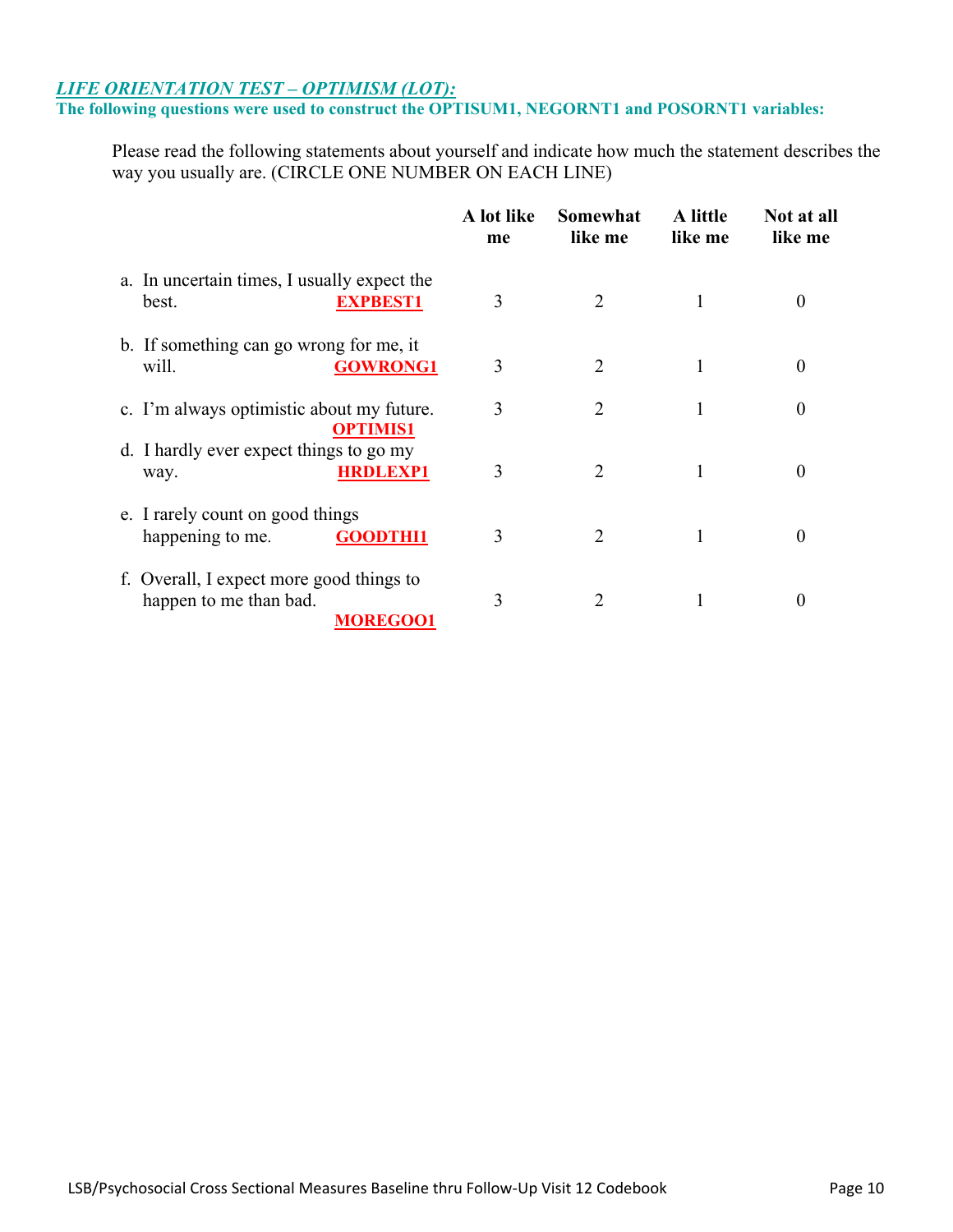#### *LIFE ORIENTATION TEST – OPTIMISM (LOT):*

**The following questions were used to construct the OPTISUM1, NEGORNT1 and POSORNT1 variables:**

Please read the following statements about yourself and indicate how much the statement describes the way you usually are. (CIRCLE ONE NUMBER ON EACH LINE)

|                                                                                       | A lot like<br>me | Somewhat<br>like me | A little<br>like me | Not at all<br>like me |
|---------------------------------------------------------------------------------------|------------------|---------------------|---------------------|-----------------------|
| a. In uncertain times, I usually expect the<br>best.<br><b>EXPBEST1</b>               | 3                | 2                   |                     | $\theta$              |
| b. If something can go wrong for me, it<br>will.<br><b>GOWRONG1</b>                   | 3                | 2                   |                     | $\overline{0}$        |
| c. I'm always optimistic about my future.<br><b>OPTIMIS1</b>                          | 3                | 2                   |                     | $\overline{0}$        |
| d. I hardly ever expect things to go my<br><b>HRDLEXP1</b><br>way.                    | 3                | 2                   |                     | $\theta$              |
| e. I rarely count on good things<br>happening to me.<br><b>GOODTHI1</b>               | 3                | $\overline{2}$      |                     | $\overline{0}$        |
| f. Overall, I expect more good things to<br>happen to me than bad.<br><b>MOREGOO1</b> | 3                | 2                   |                     | 0                     |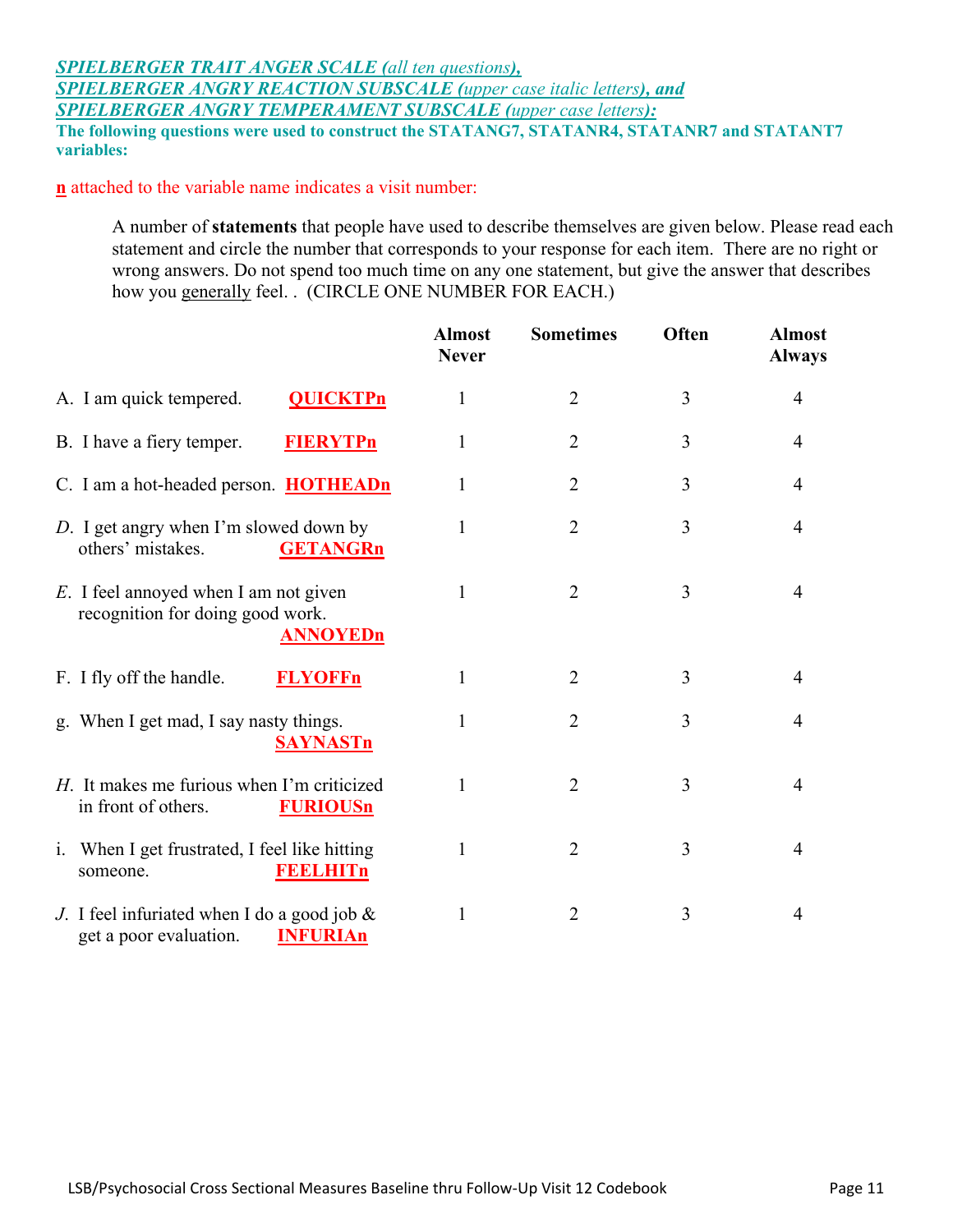#### *SPIELBERGER TRAIT ANGER SCALE (all ten questions), SPIELBERGER ANGRY REACTION SUBSCALE (upper case italic letters), and SPIELBERGER ANGRY TEMPERAMENT SUBSCALE (upper case letters):* **The following questions were used to construct the STATANG7, STATANR4, STATANR7 and STATANT7 variables:**

**n** attached to the variable name indicates a visit number:

A number of **statements** that people have used to describe themselves are given below. Please read each statement and circle the number that corresponds to your response for each item. There are no right or wrong answers. Do not spend too much time on any one statement, but give the answer that describes how you generally feel. . (CIRCLE ONE NUMBER FOR EACH.)

|                                                                                              | <b>Almost</b><br><b>Never</b> | <b>Sometimes</b> | Often | <b>Almost</b><br><b>Always</b> |
|----------------------------------------------------------------------------------------------|-------------------------------|------------------|-------|--------------------------------|
| <b>QUICKTPn</b><br>A. I am quick tempered.                                                   | $\mathbf{1}$                  | $\overline{2}$   | 3     | 4                              |
| B. I have a fiery temper.<br><b>FIERYTPn</b>                                                 | 1                             | $\overline{2}$   | 3     | 4                              |
| C. I am a hot-headed person. <b>HOTHEADn</b>                                                 | 1                             | $\overline{2}$   | 3     | 4                              |
| D. I get angry when I'm slowed down by<br>others' mistakes.<br><b>GETANGRn</b>               | 1                             | $\overline{2}$   | 3     | $\overline{4}$                 |
| E. I feel annoyed when I am not given<br>recognition for doing good work.<br><b>ANNOYEDn</b> | $\mathbf{1}$                  | $\overline{2}$   | 3     | 4                              |
| F. I fly off the handle.<br><b>FLYOFFn</b>                                                   | 1                             | 2                | 3     | 4                              |
| g. When I get mad, I say nasty things.<br><b>SAYNASTn</b>                                    | 1                             | $\overline{2}$   | 3     | $\overline{4}$                 |
| H. It makes me furious when I'm criticized<br>in front of others.<br><b>FURIOUSn</b>         | 1                             | $\overline{2}$   | 3     | $\overline{4}$                 |
| i. When I get frustrated, I feel like hitting<br><b>DBLHIT</b> n<br>someone.                 | 1                             | $\overline{2}$   | 3     | 4                              |
| J. I feel infuriated when I do a good job $\&$<br>get a poor evaluation.<br><b>INFURIAn</b>  | 1                             | 2                | 3     | 4                              |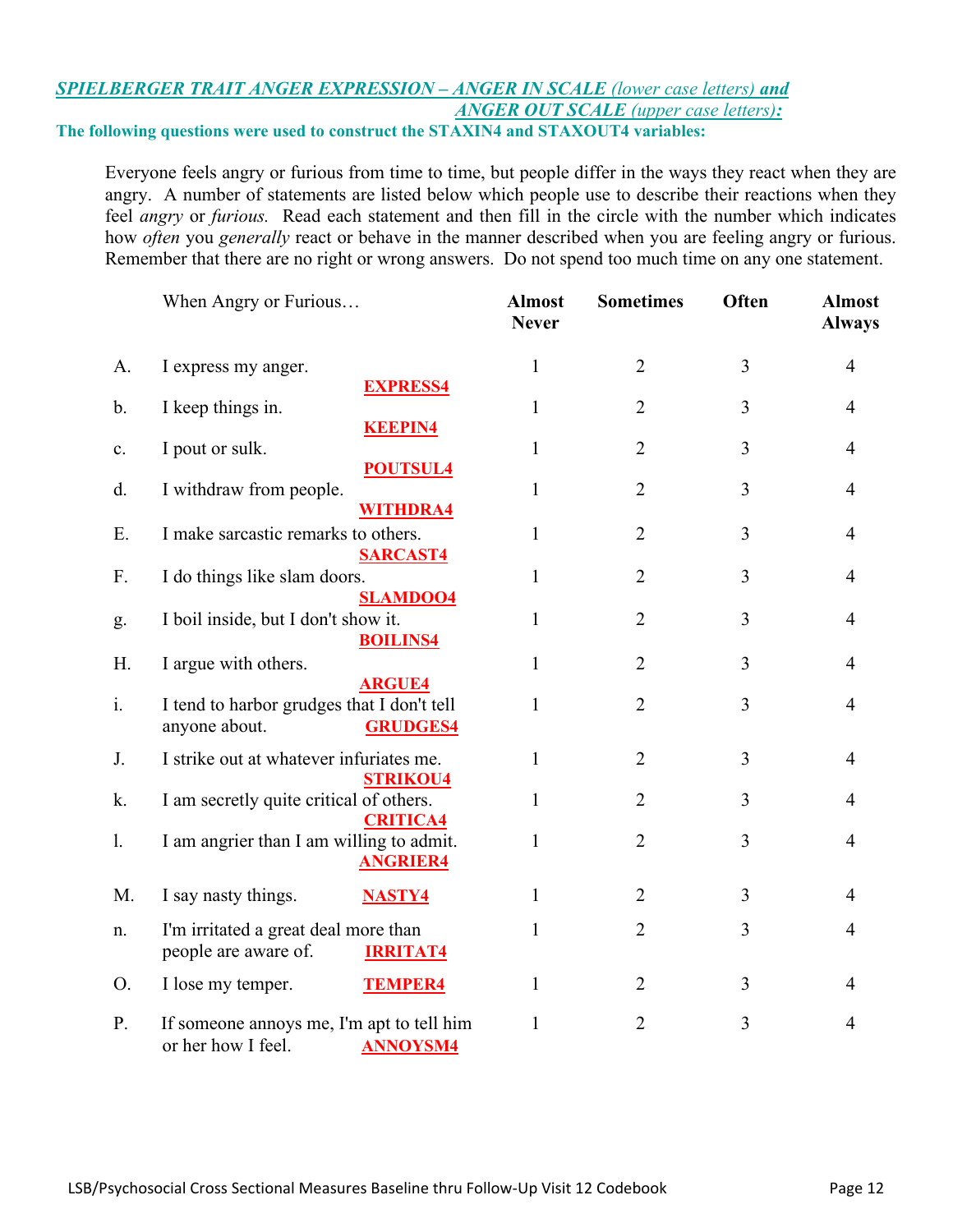#### *SPIELBERGER TRAIT ANGER EXPRESSION – ANGER IN SCALE (lower case letters) and ANGER OUT SCALE (upper case letters):* **The following questions were used to construct the STAXIN4 and STAXOUT4 variables:**

Everyone feels angry or furious from time to time, but people differ in the ways they react when they are angry. A number of statements are listed below which people use to describe their reactions when they feel *angry* or *furious.* Read each statement and then fill in the circle with the number which indicates how *often* you *generally* react or behave in the manner described when you are feeling angry or furious. Remember that there are no right or wrong answers. Do not spend too much time on any one statement.

|                | When Angry or Furious                                                              | <b>Almost</b><br><b>Never</b> | <b>Sometimes</b> | Often          | <b>Almost</b><br><b>Always</b> |
|----------------|------------------------------------------------------------------------------------|-------------------------------|------------------|----------------|--------------------------------|
| A.             | I express my anger.                                                                | 1                             | $\overline{2}$   | $\overline{3}$ | $\overline{4}$                 |
| $\mathbf b$ .  | <b>EXPRESS4</b><br>I keep things in.<br><b>KEEPIN4</b>                             | 1                             | $\overline{2}$   | $\overline{3}$ | $\overline{4}$                 |
| c.             | I pout or sulk.<br><b>POUTSUL4</b>                                                 | 1                             | $\overline{2}$   | 3              | $\overline{4}$                 |
| d.             | I withdraw from people.<br><b>WITHDRA4</b>                                         | 1                             | $\overline{2}$   | $\overline{3}$ | $\overline{4}$                 |
| E.             | I make sarcastic remarks to others.<br><b>SARCAST4</b>                             | 1                             | $\overline{2}$   | 3              | $\overline{4}$                 |
| F.             | I do things like slam doors.<br><b>SLAMDOO4</b>                                    | $\mathbf{1}$                  | $\overline{2}$   | 3              | $\overline{4}$                 |
| g.             | I boil inside, but I don't show it.<br><b>BOILINS4</b>                             | $\mathbf{1}$                  | $\overline{2}$   | 3              | $\overline{4}$                 |
| H.             | I argue with others.<br><b>ARGUE4</b>                                              | $\mathbf{1}$                  | $\overline{2}$   | 3              | $\overline{4}$                 |
| $\mathbf{i}$ . | I tend to harbor grudges that I don't tell<br><b>GRUDGES4</b><br>anyone about.     | $\mathbf{1}$                  | $\overline{2}$   | $\overline{3}$ | $\overline{4}$                 |
| J.             | I strike out at whatever infuriates me.<br><b>STRIKOU4</b>                         | $\mathbf{1}$                  | $\overline{2}$   | $\overline{3}$ | $\overline{4}$                 |
| k.             | I am secretly quite critical of others.<br><b>CRITICA4</b>                         | $\mathbf{1}$                  | $\overline{2}$   | 3              | $\overline{4}$                 |
| 1.             | I am angrier than I am willing to admit.<br><b>ANGRIER4</b>                        | 1                             | $\overline{2}$   | 3              | $\overline{4}$                 |
| M.             | I say nasty things.<br><b>NASTY4</b>                                               | 1                             | $\overline{2}$   | $\overline{3}$ | $\overline{4}$                 |
| n.             | I'm irritated a great deal more than<br>people are aware of.<br><b>IRRITAT4</b>    | 1                             | $\overline{2}$   | 3              | $\overline{4}$                 |
| O.             | <b>TEMPER4</b><br>I lose my temper.                                                | $\mathbf{1}$                  | $\overline{2}$   | 3              | $\overline{4}$                 |
| P.             | If someone annoys me, I'm apt to tell him<br>or her how I feel.<br><b>ANNOYSM4</b> | 1                             | $\overline{2}$   | 3              | $\overline{4}$                 |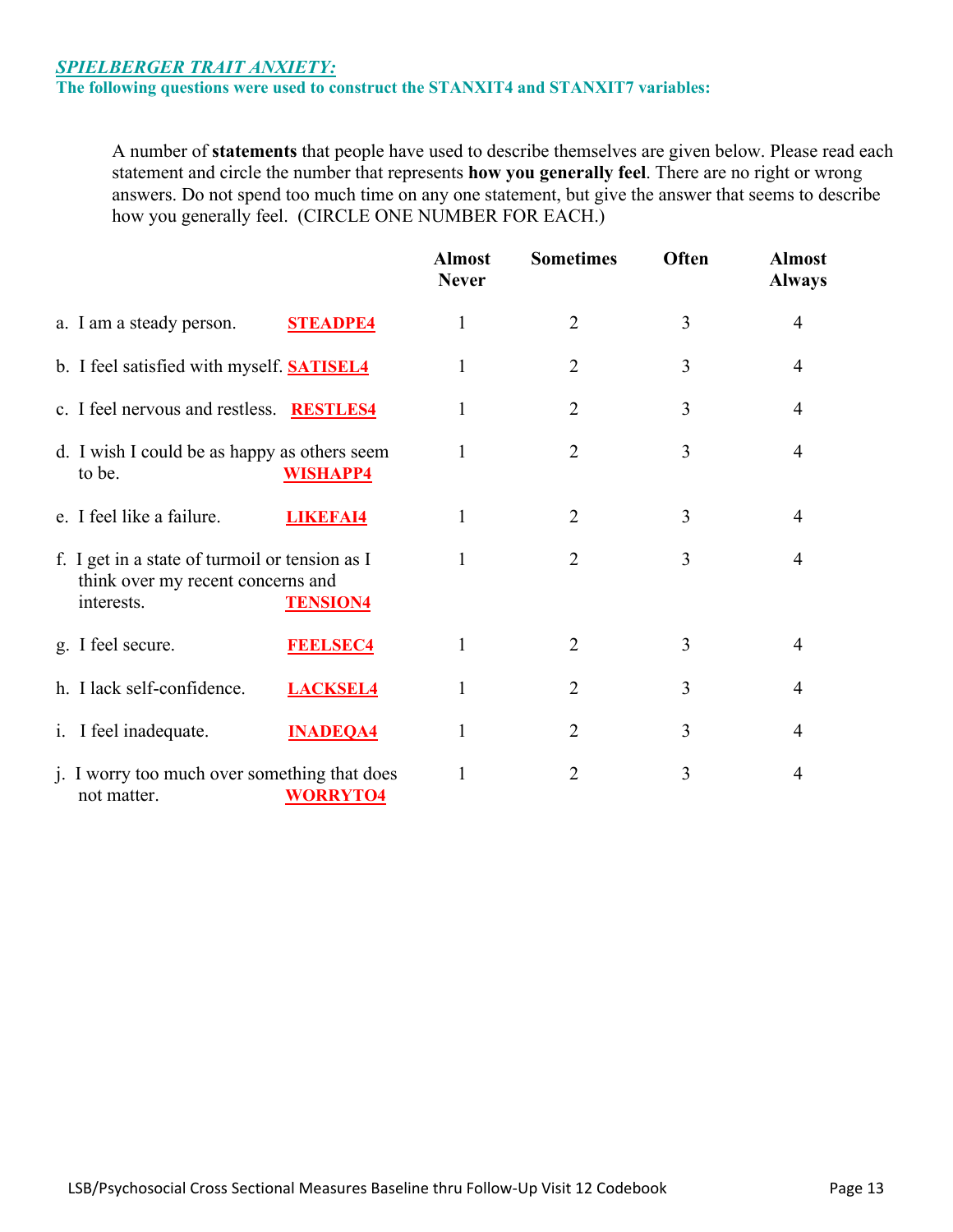A number of **statements** that people have used to describe themselves are given below. Please read each statement and circle the number that represents **how you generally feel**. There are no right or wrong answers. Do not spend too much time on any one statement, but give the answer that seems to describe how you generally feel. (CIRCLE ONE NUMBER FOR EACH.)

|                                                                                                   |                 | <b>Almost</b><br><b>Never</b> | <b>Sometimes</b> | Often | <b>Almost</b><br><b>Always</b> |
|---------------------------------------------------------------------------------------------------|-----------------|-------------------------------|------------------|-------|--------------------------------|
| a. I am a steady person.                                                                          | <b>STEADPE4</b> | 1                             | 2                | 3     | 4                              |
| b. I feel satisfied with myself. <b>SATISEL4</b>                                                  |                 | I                             | 2                | 3     | 4                              |
| c. I feel nervous and restless. RESTLES4                                                          |                 | 1                             | 2                | 3     | 4                              |
| d. I wish I could be as happy as others seem<br>to be.                                            | <b>WISHAPP4</b> | 1                             | $\overline{2}$   | 3     | 4                              |
| e. I feel like a failure.                                                                         | LIKEFAI4        | 1                             | $\overline{2}$   | 3     | 4                              |
| f. I get in a state of turmoil or tension as I<br>think over my recent concerns and<br>interests. | <b>TENSION4</b> | 1                             | 2                | 3     | 4                              |
| g. I feel secure.                                                                                 | <b>FEELSEC4</b> | 1                             | $\overline{2}$   | 3     | 4                              |
| h. I lack self-confidence.                                                                        | <b>LACKSEL4</b> | 1                             | 2                | 3     | 4                              |
| i. I feel inadequate.                                                                             | <b>INADEQA4</b> | 1                             | 2                | 3     | 4                              |
| j. I worry too much over something that does<br>not matter.                                       | <b>WORRYTO4</b> | 1                             | 2                | 3     | 4                              |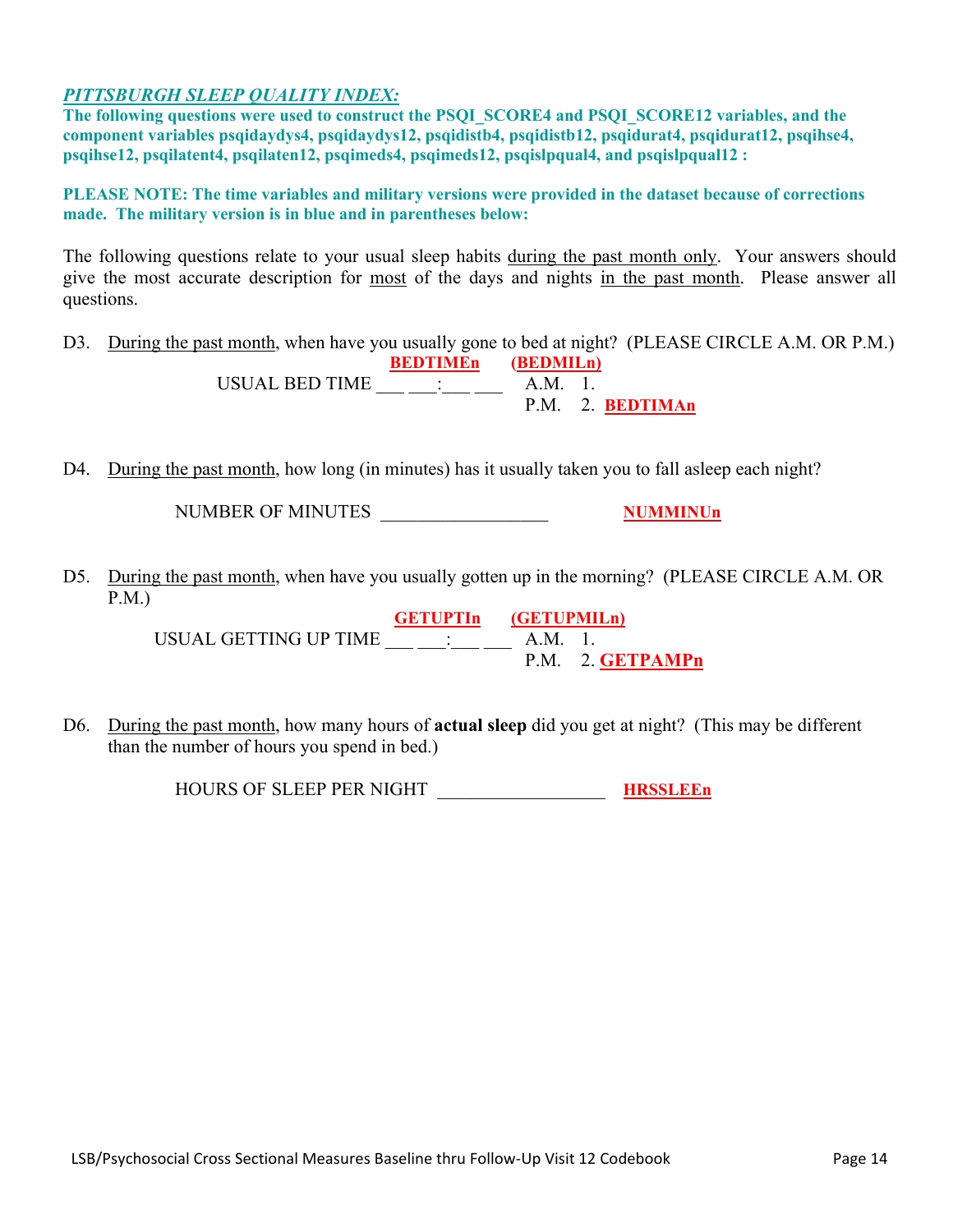#### *PITTSBURGH SLEEP QUALITY INDEX:*

**The following questions were used to construct the PSQI\_SCORE4 and PSQI\_SCORE12 variables, and the component variables psqidaydys4, psqidaydys12, psqidistb4, psqidistb12, psqidurat4, psqidurat12, psqihse4, psqihse12, psqilatent4, psqilaten12, psqimeds4, psqimeds12, psqislpqual4, and psqislpqual12 :**

**PLEASE NOTE: The time variables and military versions were provided in the dataset because of corrections made. The military version is in blue and in parentheses below:** 

The following questions relate to your usual sleep habits during the past month only. Your answers should give the most accurate description for most of the days and nights in the past month. Please answer all questions.

- D3. During the past month, when have you usually gone to bed at night? (PLEASE CIRCLE A.M. OR P.M.) **BEDTIMEn (BEDMILn)** USUAL BED TIME \_\_\_ \_\_\_:\_\_\_ \_\_\_ A.M. 1. P.M. 2. **BEDTIMAn**
- D4. During the past month, how long (in minutes) has it usually taken you to fall asleep each night?

NUMBER OF MINUTES \_\_\_\_\_\_\_\_\_\_\_\_\_\_\_\_\_\_ **NUMMINUn**

D5. During the past month, when have you usually gotten up in the morning? (PLEASE CIRCLE A.M. OR P.M.)

**GETUPTIn (GETUPMILn)** USUAL GETTING UP TIME  $\_\_\_\_\_\_\_\_\_\_\_\_$  A.M. 1. P.M. 2. **GETPAMPn**

D6. During the past month, how many hours of **actual sleep** did you get at night? (This may be different than the number of hours you spend in bed.)

HOURS OF SLEEP PER NIGHT \_\_\_\_\_\_\_\_\_\_\_\_\_\_\_\_\_\_ **HRSSLEEn**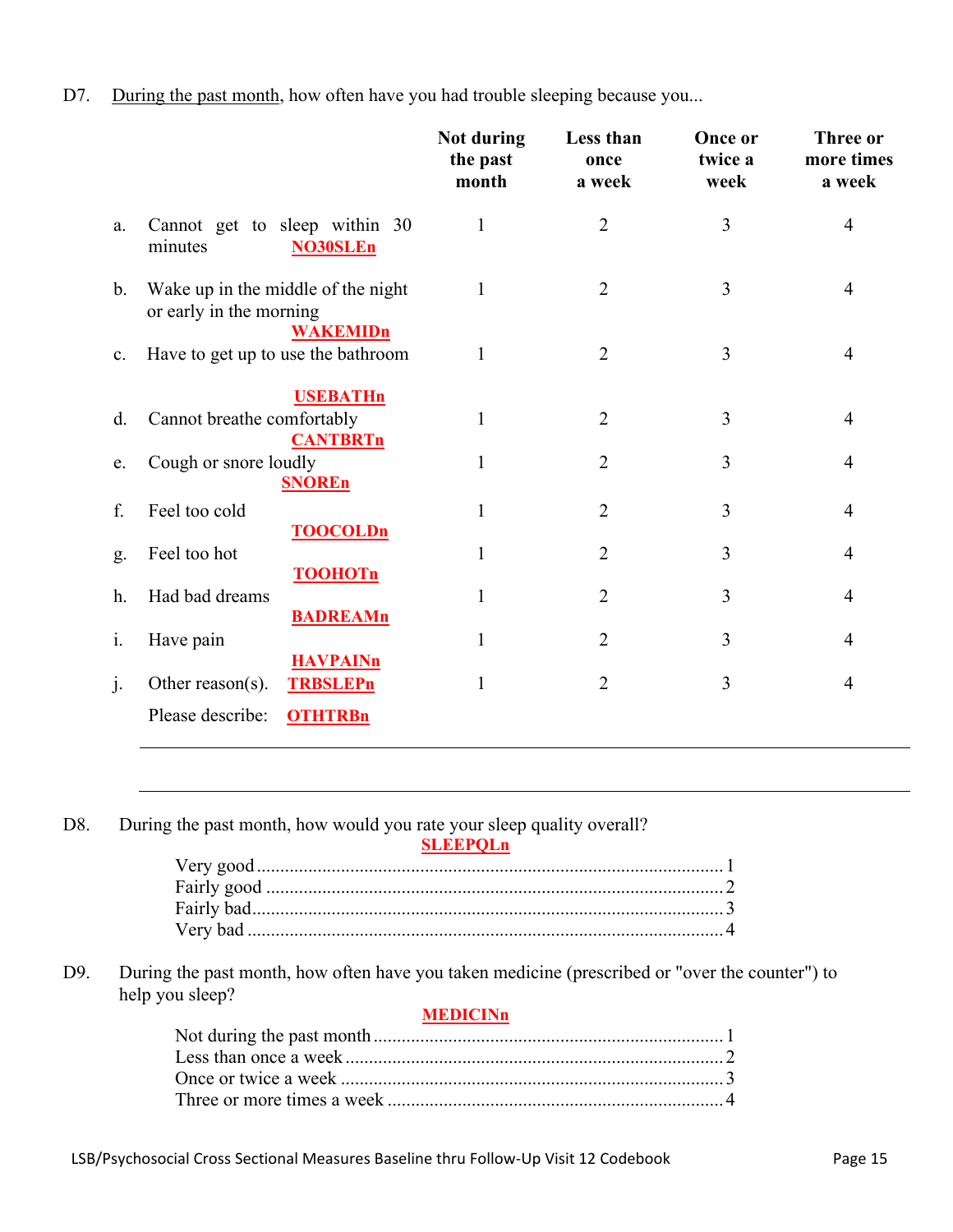D7. During the past month, how often have you had trouble sleeping because you...

|                |                                                                                  | <b>Not during</b><br>the past<br>month | Less than<br>once<br>a week | Once or<br>twice a<br>week | Three or<br>more times<br>a week |
|----------------|----------------------------------------------------------------------------------|----------------------------------------|-----------------------------|----------------------------|----------------------------------|
| a.             | Cannot get to sleep within 30<br>minutes<br><b>NO30SLEn</b>                      | $\mathbf{1}$                           | $\overline{2}$              | 3                          | 4                                |
| $\mathbf{b}$ . | Wake up in the middle of the night<br>or early in the morning<br><b>WAKEMIDn</b> | 1                                      | $\overline{2}$              | 3                          | 4                                |
| c.             | Have to get up to use the bathroom                                               | $\mathbf{1}$                           | $\overline{2}$              | 3                          | 4                                |
| d.             | <b>USEBATHn</b><br>Cannot breathe comfortably<br><b>CANTBRTn</b>                 | 1                                      | $\overline{2}$              | 3                          | 4                                |
| e.             | Cough or snore loudly<br><b>SNOREn</b>                                           | 1                                      | $\overline{2}$              | 3                          | 4                                |
| f.             | Feel too cold<br><b>TOOCOLDn</b>                                                 | 1                                      | $\overline{2}$              | 3                          | 4                                |
| g.             | Feel too hot<br><b>TOOHOTn</b>                                                   | 1                                      | $\overline{2}$              | 3                          | 4                                |
| h.             | Had bad dreams<br><b>BADREAMn</b>                                                | 1                                      | 2                           | 3                          | 4                                |
| 1.             | Have pain<br><b>HAVPAINn</b>                                                     | $\mathbf{1}$                           | 2                           | 3                          | 4                                |
| J <sub>1</sub> | <b>TRBSLEPn</b><br>Other reason(s).                                              | 1                                      | 2                           | 3                          | 4                                |
|                | Please describe:<br><b>OTHTRBn</b>                                               |                                        |                             |                            |                                  |

D8. During the past month, how would you rate your sleep quality overall?

**SLEEPQLn**

D9. During the past month, how often have you taken medicine (prescribed or "over the counter") to help you sleep?

| <b>MEDICINE</b> |  |
|-----------------|--|
|                 |  |
|                 |  |
|                 |  |
|                 |  |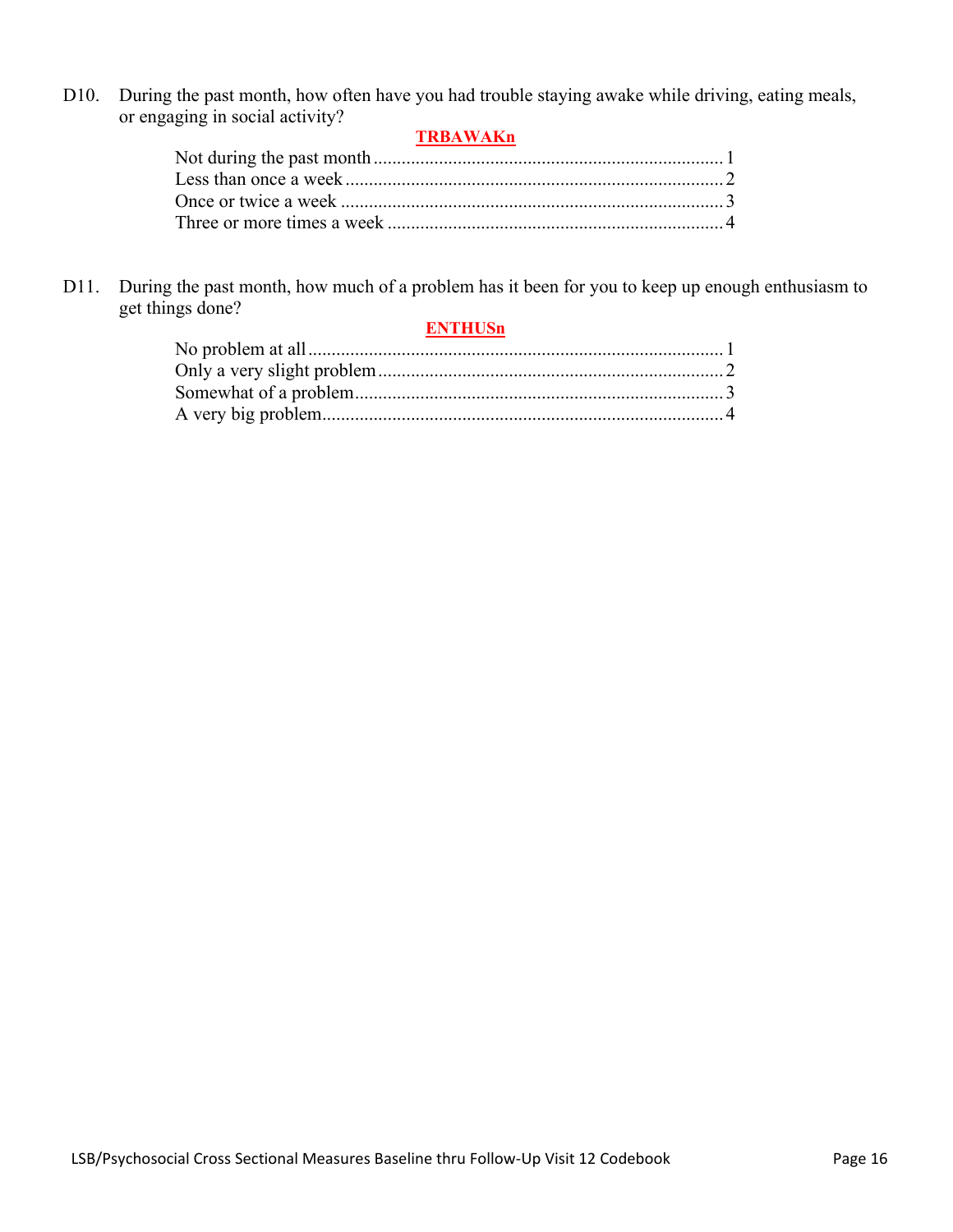D10. During the past month, how often have you had trouble staying awake while driving, eating meals, or engaging in social activity?

#### **TRBAWAKn**

D11. During the past month, how much of a problem has it been for you to keep up enough enthusiasm to get things done?

#### **ENTHUSn**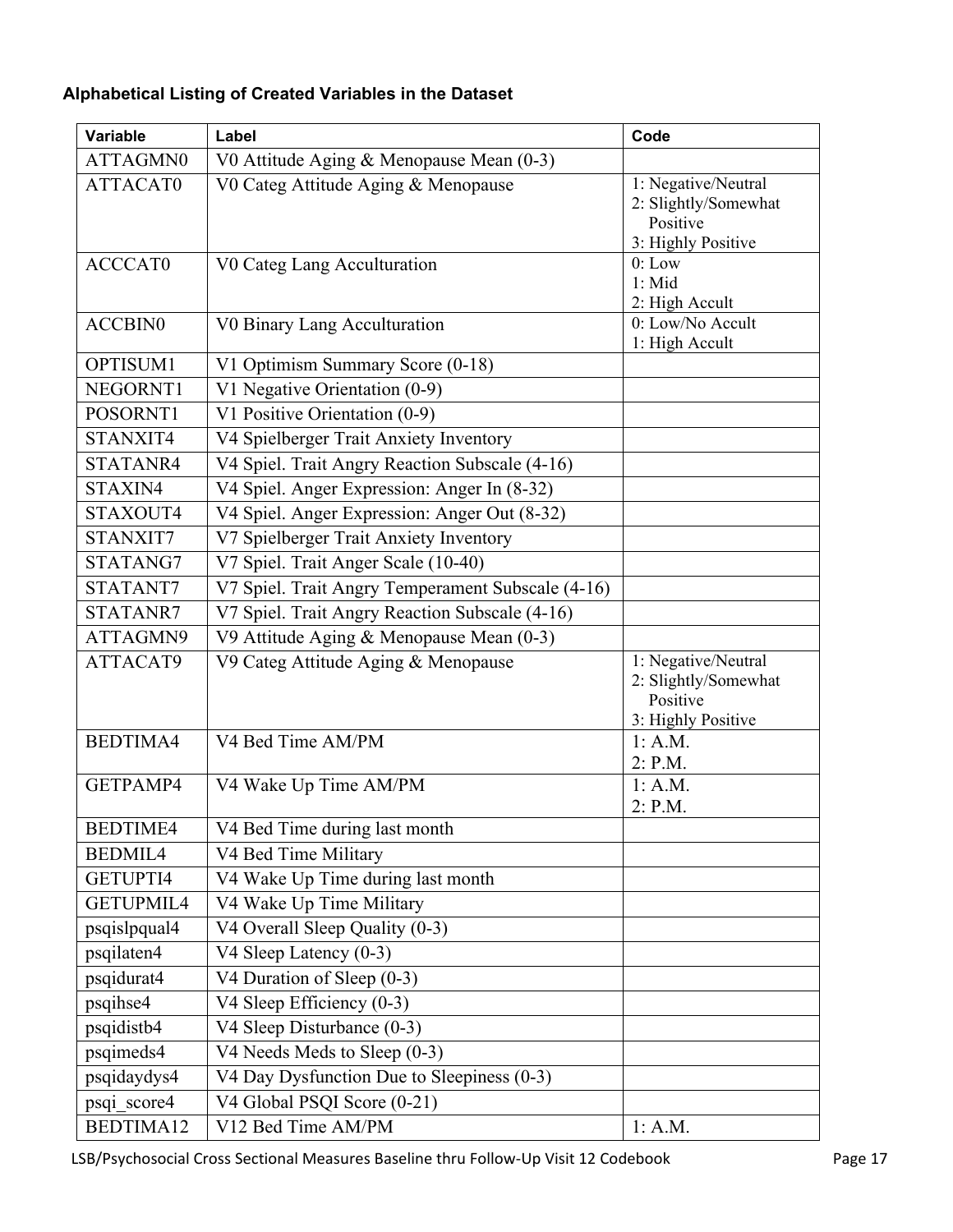### **Alphabetical Listing of Created Variables in the Dataset**

| Variable         | Label                                             | Code                                                                          |
|------------------|---------------------------------------------------|-------------------------------------------------------------------------------|
| ATTAGMN0         | V0 Attitude Aging & Menopause Mean (0-3)          |                                                                               |
| ATTACAT0         | V0 Categ Attitude Aging & Menopause               | 1: Negative/Neutral<br>2: Slightly/Somewhat<br>Positive<br>3: Highly Positive |
| ACCCAT0          | V0 Categ Lang Acculturation                       | 0: Low<br>1: Mid<br>2: High Accult                                            |
| <b>ACCBIN0</b>   | V0 Binary Lang Acculturation                      | 0: Low/No Accult<br>1: High Accult                                            |
| OPTISUM1         | V1 Optimism Summary Score (0-18)                  |                                                                               |
| NEGORNT1         | V1 Negative Orientation (0-9)                     |                                                                               |
| POSORNT1         | V1 Positive Orientation (0-9)                     |                                                                               |
| STANXIT4         | V4 Spielberger Trait Anxiety Inventory            |                                                                               |
| STATANR4         | V4 Spiel. Trait Angry Reaction Subscale (4-16)    |                                                                               |
| STAXIN4          | V4 Spiel. Anger Expression: Anger In (8-32)       |                                                                               |
| STAXOUT4         | V4 Spiel. Anger Expression: Anger Out (8-32)      |                                                                               |
| STANXIT7         | V7 Spielberger Trait Anxiety Inventory            |                                                                               |
| STATANG7         | V7 Spiel. Trait Anger Scale (10-40)               |                                                                               |
| STATANT7         | V7 Spiel. Trait Angry Temperament Subscale (4-16) |                                                                               |
| STATANR7         | V7 Spiel. Trait Angry Reaction Subscale (4-16)    |                                                                               |
| ATTAGMN9         | V9 Attitude Aging & Menopause Mean (0-3)          |                                                                               |
| ATTACAT9         | V9 Categ Attitude Aging & Menopause               | 1: Negative/Neutral<br>2: Slightly/Somewhat<br>Positive<br>3: Highly Positive |
| <b>BEDTIMA4</b>  | V4 Bed Time AM/PM                                 | 1: A.M.<br>2: P.M.                                                            |
| GETPAMP4         | V4 Wake Up Time AM/PM                             | 1: A.M.<br>2: P.M.                                                            |
| <b>BEDTIME4</b>  | V4 Bed Time during last month                     |                                                                               |
| <b>BEDMIL4</b>   | V4 Bed Time Military                              |                                                                               |
| GETUPTI4         | V4 Wake Up Time during last month                 |                                                                               |
| <b>GETUPMIL4</b> | V4 Wake Up Time Military                          |                                                                               |
| psqislpqual4     | V4 Overall Sleep Quality (0-3)                    |                                                                               |
| psqilaten4       | V4 Sleep Latency (0-3)                            |                                                                               |
| psqidurat4       | V4 Duration of Sleep (0-3)                        |                                                                               |
| psqihse4         | V4 Sleep Efficiency (0-3)                         |                                                                               |
| psqidistb4       | V4 Sleep Disturbance (0-3)                        |                                                                               |
| psqimeds4        | V4 Needs Meds to Sleep (0-3)                      |                                                                               |
| psqidaydys4      | V4 Day Dysfunction Due to Sleepiness (0-3)        |                                                                               |
| psqi_score4      | V4 Global PSQI Score (0-21)                       |                                                                               |
| BEDTIMA12        | V12 Bed Time AM/PM                                | 1: A.M.                                                                       |

LSB/Psychosocial Cross Sectional Measures Baseline thru Follow-Up Visit 12 Codebook Page 17